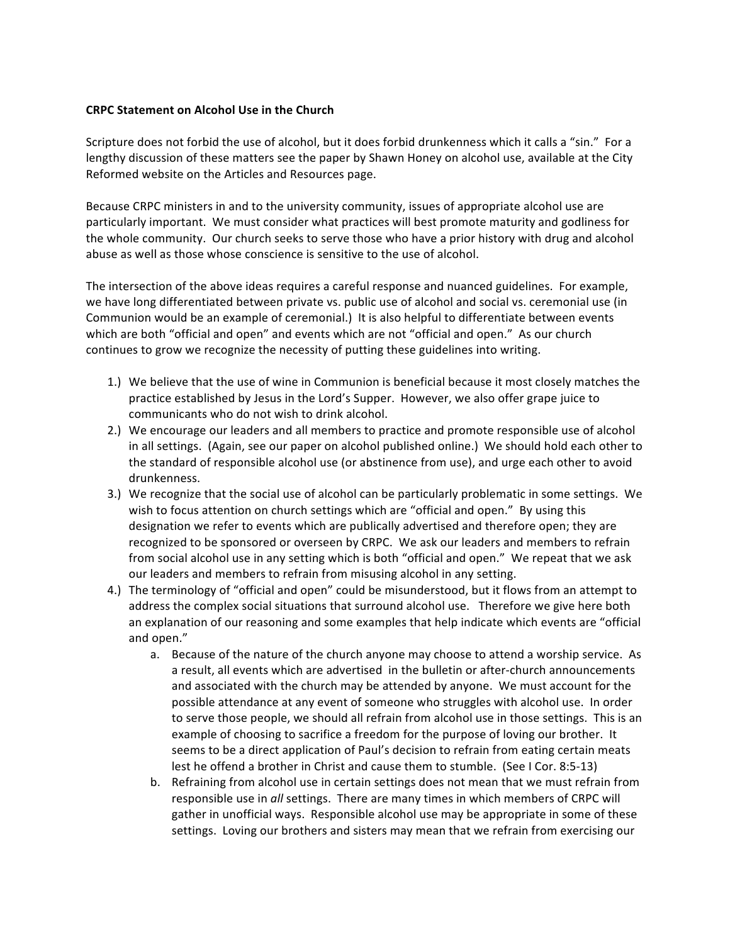## **CRPC Statement on Alcohol Use in the Church**

Scripture does not forbid the use of alcohol, but it does forbid drunkenness which it calls a "sin." For a lengthy discussion of these matters see the paper by Shawn Honey on alcohol use, available at the City Reformed website on the Articles and Resources page.

Because CRPC ministers in and to the university community, issues of appropriate alcohol use are particularly important. We must consider what practices will best promote maturity and godliness for the whole community. Our church seeks to serve those who have a prior history with drug and alcohol abuse as well as those whose conscience is sensitive to the use of alcohol.

The intersection of the above ideas requires a careful response and nuanced guidelines. For example, we have long differentiated between private vs. public use of alcohol and social vs. ceremonial use (in Communion would be an example of ceremonial.) It is also helpful to differentiate between events which are both "official and open" and events which are not "official and open." As our church continues to grow we recognize the necessity of putting these guidelines into writing.

- 1.) We believe that the use of wine in Communion is beneficial because it most closely matches the practice established by Jesus in the Lord's Supper. However, we also offer grape juice to communicants who do not wish to drink alcohol.
- 2.) We encourage our leaders and all members to practice and promote responsible use of alcohol in all settings. (Again, see our paper on alcohol published online.) We should hold each other to the standard of responsible alcohol use (or abstinence from use), and urge each other to avoid drunkenness.
- 3.) We recognize that the social use of alcohol can be particularly problematic in some settings. We wish to focus attention on church settings which are "official and open." By using this designation we refer to events which are publically advertised and therefore open; they are recognized to be sponsored or overseen by CRPC. We ask our leaders and members to refrain from social alcohol use in any setting which is both "official and open." We repeat that we ask our leaders and members to refrain from misusing alcohol in any setting.
- 4.) The terminology of "official and open" could be misunderstood, but it flows from an attempt to address the complex social situations that surround alcohol use. Therefore we give here both an explanation of our reasoning and some examples that help indicate which events are "official and open."
	- a. Because of the nature of the church anyone may choose to attend a worship service. As a result, all events which are advertised in the bulletin or after-church announcements and associated with the church may be attended by anyone. We must account for the possible attendance at any event of someone who struggles with alcohol use. In order to serve those people, we should all refrain from alcohol use in those settings. This is an example of choosing to sacrifice a freedom for the purpose of loving our brother. It seems to be a direct application of Paul's decision to refrain from eating certain meats lest he offend a brother in Christ and cause them to stumble. (See I Cor. 8:5-13)
	- b. Refraining from alcohol use in certain settings does not mean that we must refrain from responsible use in all settings. There are many times in which members of CRPC will gather in unofficial ways. Responsible alcohol use may be appropriate in some of these settings. Loving our brothers and sisters may mean that we refrain from exercising our